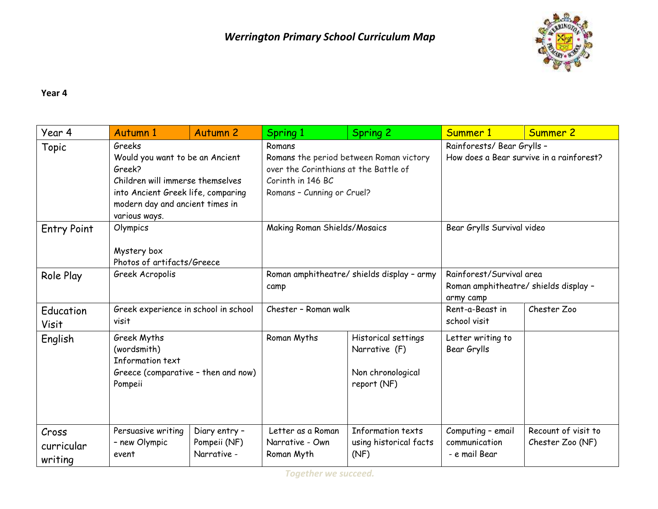

## **Year 4**

| Year 4                         | Autumn 1                                                                                                                                                                          | <b>Autumn 2</b>                              | Spring 1                                                                                                                                      | <b>Spring 2</b>                                                          | Summer 1                                                                       | Summer 2                                |
|--------------------------------|-----------------------------------------------------------------------------------------------------------------------------------------------------------------------------------|----------------------------------------------|-----------------------------------------------------------------------------------------------------------------------------------------------|--------------------------------------------------------------------------|--------------------------------------------------------------------------------|-----------------------------------------|
| Topic                          | Greeks<br>Would you want to be an Ancient<br>Greek?<br>Children will immerse themselves<br>into Ancient Greek life, comparing<br>modern day and ancient times in<br>various ways. |                                              | Romans<br>Romans the period between Roman victory<br>over the Corinthians at the Battle of<br>Corinth in 146 BC<br>Romans - Cunning or Cruel? |                                                                          | Rainforests/ Bear Grylls -<br>How does a Bear survive in a rainforest?         |                                         |
| <b>Entry Point</b>             | Olympics<br>Mystery box<br>Photos of artifacts/Greece                                                                                                                             |                                              | Making Roman Shields/Mosaics                                                                                                                  |                                                                          | Bear Grylls Survival video                                                     |                                         |
| Role Play                      | Greek Acropolis                                                                                                                                                                   |                                              | Roman amphitheatre/ shields display - army<br>camp                                                                                            |                                                                          | Rainforest/Survival area<br>Roman amphitheatre/ shields display -<br>army camp |                                         |
| Education<br><b>Visit</b>      | Greek experience in school in school<br>visit                                                                                                                                     |                                              | Chester - Roman walk                                                                                                                          |                                                                          | Rent-a-Beast in<br>school visit                                                | Chester Zoo                             |
| English                        | Greek Myths<br>(wordsmith)<br>Information text<br>Greece (comparative - then and now)<br>Pompeii                                                                                  |                                              | Roman Myths                                                                                                                                   | Historical settings<br>Narrative (F)<br>Non chronological<br>report (NF) | Letter writing to<br>Bear Grylls                                               |                                         |
| Cross<br>curricular<br>writing | Persuasive writing<br>- new Olympic<br>event                                                                                                                                      | Diary entry -<br>Pompeii (NF)<br>Narrative - | Letter as a Roman<br>Narrative - Own<br>Roman Myth                                                                                            | Information texts<br>using historical facts<br>(NF)                      | Computing - email<br>communication<br>- e mail Bear                            | Recount of visit to<br>Chester Zoo (NF) |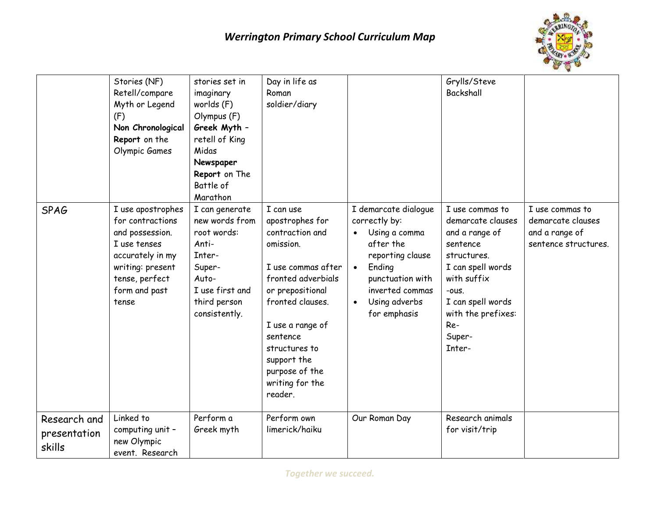

|                                        | Stories (NF)<br>Retell/compare<br>Myth or Legend<br>(F)<br>Non Chronological<br>Report on the<br>Olympic Games                                               | stories set in<br>imaginary<br>worlds (F)<br>Olympus (F)<br>Greek Myth -<br>retell of King<br>Midas<br>Newspaper<br>Report on The<br>Battle of<br>Marathon | Day in life as<br>Roman<br>soldier/diary                                                                                                                                                                                                                         |                                                                                                                                                                                                     | Grylls/Steve<br>Backshall                                                                                                                                                                            |                                                                                |
|----------------------------------------|--------------------------------------------------------------------------------------------------------------------------------------------------------------|------------------------------------------------------------------------------------------------------------------------------------------------------------|------------------------------------------------------------------------------------------------------------------------------------------------------------------------------------------------------------------------------------------------------------------|-----------------------------------------------------------------------------------------------------------------------------------------------------------------------------------------------------|------------------------------------------------------------------------------------------------------------------------------------------------------------------------------------------------------|--------------------------------------------------------------------------------|
| <b>SPAG</b>                            | I use apostrophes<br>for contractions<br>and possession.<br>I use tenses<br>accurately in my<br>writing: present<br>tense, perfect<br>form and past<br>tense | I can generate<br>new words from<br>root words:<br>Anti-<br>Inter-<br>Super-<br>Auto-<br>I use first and<br>third person<br>consistently.                  | I can use<br>apostrophes for<br>contraction and<br>omission.<br>I use commas after<br>fronted adverbials<br>or prepositional<br>fronted clauses.<br>I use a range of<br>sentence<br>structures to<br>support the<br>purpose of the<br>writing for the<br>reader. | I demarcate dialogue<br>correctly by:<br>Using a comma<br>after the<br>reporting clause<br>Ending<br>$\bullet$<br>punctuation with<br>inverted commas<br>Using adverbs<br>$\bullet$<br>for emphasis | I use commas to<br>demarcate clauses<br>and a range of<br>sentence<br>structures.<br>I can spell words<br>with suffix<br>-ous.<br>I can spell words<br>with the prefixes:<br>Re-<br>Super-<br>Inter- | I use commas to<br>demarcate clauses<br>and a range of<br>sentence structures. |
| Research and<br>presentation<br>skills | Linked to<br>computing unit -<br>new Olympic<br>event. Research                                                                                              | Perform a<br>Greek myth                                                                                                                                    | Perform own<br>limerick/haiku                                                                                                                                                                                                                                    | Our Roman Day                                                                                                                                                                                       | Research animals<br>for visit/trip                                                                                                                                                                   |                                                                                |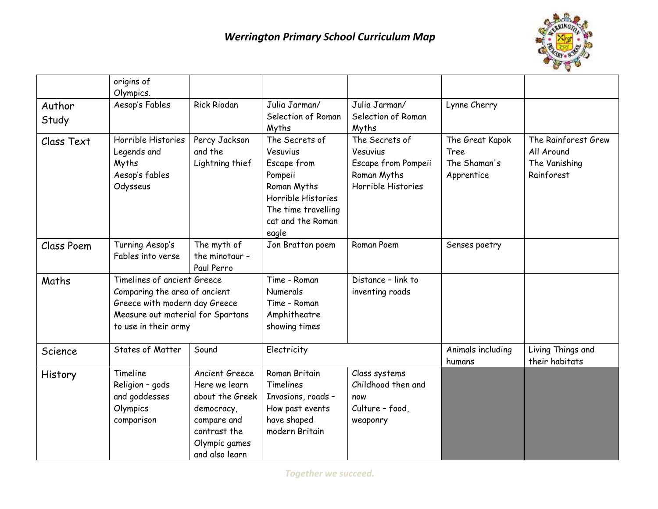

|            | origins of                        |                    |                                   |                                   |                   |                     |
|------------|-----------------------------------|--------------------|-----------------------------------|-----------------------------------|-------------------|---------------------|
|            | Olympics.                         |                    |                                   |                                   |                   |                     |
| Author     | Aesop's Fables                    | <b>Rick Riodan</b> | Julia Jarman/                     | Julia Jarman/                     | Lynne Cherry      |                     |
| Study      |                                   |                    | Selection of Roman                | Selection of Roman                |                   |                     |
|            |                                   |                    | Myths                             | Myths                             |                   |                     |
| Class Text | Horrible Histories                | Percy Jackson      | The Secrets of                    | The Secrets of                    | The Great Kapok   | The Rainforest Grew |
|            | Legends and                       | and the            | Vesuvius                          | Vesuvius                          | Tree              | All Around          |
|            | Myths                             | Lightning thief    | Escape from                       | Escape from Pompeii               | The Shaman's      | The Vanishing       |
|            | Aesop's fables                    |                    | Pompeii                           | Roman Myths<br>Horrible Histories | Apprentice        | Rainforest          |
|            | Odysseus                          |                    | Roman Myths<br>Horrible Histories |                                   |                   |                     |
|            |                                   |                    | The time travelling               |                                   |                   |                     |
|            |                                   |                    | cat and the Roman                 |                                   |                   |                     |
|            |                                   |                    | eagle                             |                                   |                   |                     |
| Class Poem | Turning Aesop's                   | The myth of        | Jon Bratton poem                  | Roman Poem                        | Senses poetry     |                     |
|            | Fables into verse                 | the minotaur -     |                                   |                                   |                   |                     |
|            |                                   | Paul Perro         |                                   |                                   |                   |                     |
| Maths      | Timelines of ancient Greece       |                    | Time - Roman                      | Distance - link to                |                   |                     |
|            | Comparing the area of ancient     |                    | Numerals                          | inventing roads                   |                   |                     |
|            | Greece with modern day Greece     |                    | Time - Roman                      |                                   |                   |                     |
|            | Measure out material for Spartans |                    | Amphitheatre                      |                                   |                   |                     |
|            | to use in their army              |                    | showing times                     |                                   |                   |                     |
| Science    | States of Matter                  | Sound              | Electricity                       |                                   | Animals including | Living Things and   |
|            |                                   |                    |                                   |                                   | humans            | their habitats      |
| History    | Timeline                          | Ancient Greece     | Roman Britain                     | Class systems                     |                   |                     |
|            | Religion - gods                   | Here we learn      | Timelines                         | Childhood then and                |                   |                     |
|            | and goddesses                     | about the Greek    | Invasions, roads -                | now                               |                   |                     |
|            | Olympics                          | democracy,         | How past events                   | Culture - food,                   |                   |                     |
|            | comparison                        | compare and        | have shaped                       | weaponry                          |                   |                     |
|            |                                   | contrast the       | modern Britain                    |                                   |                   |                     |
|            |                                   | Olympic games      |                                   |                                   |                   |                     |
|            |                                   | and also learn     |                                   |                                   |                   |                     |

*Together we succeed.*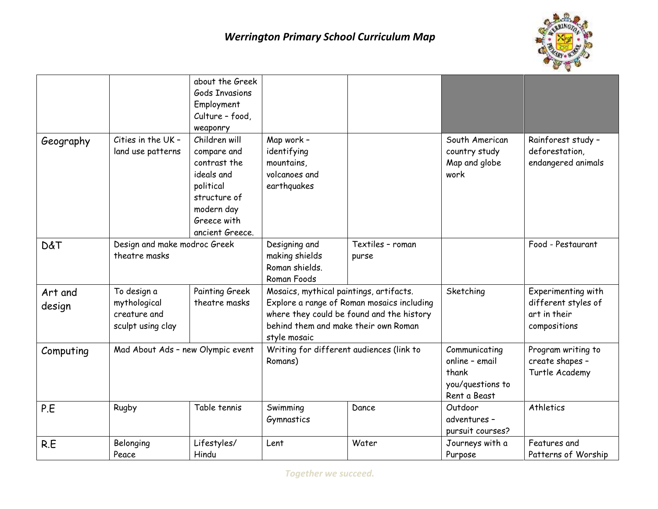

|                |                                   | about the Greek       |                                          |                                            |                  |                     |
|----------------|-----------------------------------|-----------------------|------------------------------------------|--------------------------------------------|------------------|---------------------|
|                |                                   | <b>Gods Invasions</b> |                                          |                                            |                  |                     |
|                |                                   | Employment            |                                          |                                            |                  |                     |
|                |                                   | Culture - food,       |                                          |                                            |                  |                     |
|                |                                   | weaponry              |                                          |                                            |                  |                     |
| Geography      | Cities in the UK -                | Children will         | Map work -                               |                                            | South American   | Rainforest study -  |
|                | land use patterns                 | compare and           | identifying                              |                                            | country study    | deforestation,      |
|                |                                   | contrast the          | mountains,                               |                                            | Map and globe    | endangered animals  |
|                |                                   | ideals and            | volcanoes and                            |                                            | work             |                     |
|                |                                   | political             | earthquakes                              |                                            |                  |                     |
|                |                                   | structure of          |                                          |                                            |                  |                     |
|                |                                   | modern day            |                                          |                                            |                  |                     |
|                |                                   | Greece with           |                                          |                                            |                  |                     |
|                |                                   | ancient Greece.       |                                          |                                            |                  |                     |
| <b>D&amp;T</b> | Design and make modroc Greek      |                       | Designing and                            | Textiles - roman                           |                  | Food - Pestaurant   |
|                | theatre masks                     |                       | making shields                           | purse                                      |                  |                     |
|                |                                   |                       | Roman shields.                           |                                            |                  |                     |
|                |                                   |                       | Roman Foods                              |                                            |                  |                     |
| Art and        | To design a                       | Painting Greek        | Mosaics, mythical paintings, artifacts.  |                                            | Sketching        | Experimenting with  |
| design         | mythological                      | theatre masks         |                                          | Explore a range of Roman mosaics including |                  | different styles of |
|                | creature and                      |                       |                                          | where they could be found and the history  |                  | art in their        |
|                | sculpt using clay                 |                       | behind them and make their own Roman     |                                            |                  | compositions        |
|                |                                   |                       | style mosaic                             |                                            |                  |                     |
| Computing      | Mad About Ads - new Olympic event |                       | Writing for different audiences (link to |                                            | Communicating    | Program writing to  |
|                |                                   |                       | Romans)                                  |                                            | online - email   | create shapes -     |
|                |                                   |                       |                                          |                                            | thank            | Turtle Academy      |
|                |                                   |                       |                                          |                                            | you/questions to |                     |
|                |                                   |                       |                                          |                                            | Rent a Beast     |                     |
| P.E            | Rugby                             | Table tennis          | Swimming                                 | Dance                                      | Outdoor          | Athletics           |
|                |                                   |                       | Gymnastics                               |                                            | adventures -     |                     |
|                |                                   |                       |                                          |                                            | pursuit courses? |                     |
| R.E            | Belonging                         | Lifestyles/           | Lent                                     | Water                                      | Journeys with a  | Features and        |
|                | Peace                             | Hindu                 |                                          |                                            | Purpose          | Patterns of Worship |